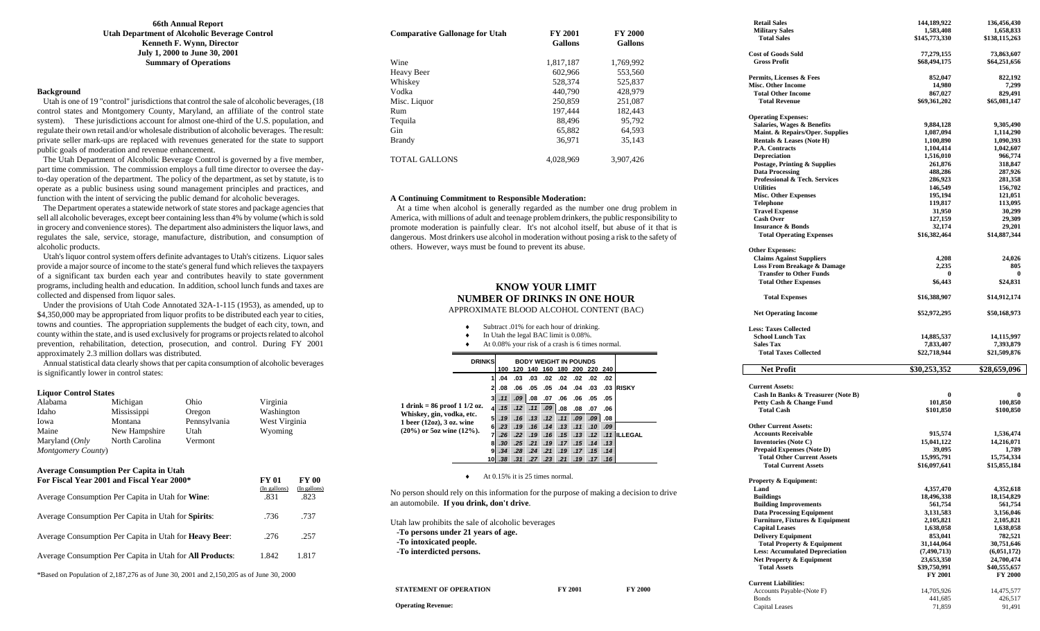#### **66th Annual Report Utah Department of Alcoholic Beverage Control Kenneth F. Wynn, Director July 1, 2000 to June 30, 2001 Summary of Operations**

#### **Background**

 Utah is one of 19 "control" jurisdictions that control the sale of alcoholic beverages, (18 control states and Montgomery County, Maryland, an affiliate of the control state system). These jurisdictions account for almost one-third of the U.S. population, and regulate their own retail and/or wholesale distribution of alcoholic beverages. The result: private seller mark-ups are replaced with revenues generated for the state to support public goals of moderation and revenue enhancement.

 The Utah Department of Alcoholic Beverage Control is governed by a five member, part time commission. The commission employs a full time director to oversee the dayto-day operation of the department. The policy of the department, as set by statute, is to operate as a public business using sound management principles and practices, and function with the intent of servicing the public demand for alcoholic beverages.

 The Department operates a statewide network of state stores and package agencies that sell all alcoholic beverages, except beer containing less than 4% by volume (which is sold in grocery and convenience stores). The department also administers the liquor laws, and regulates the sale, service, storage, manufacture, distribution, and consumption of alcoholic products.

 Utah's liquor control system offers definite advantages to Utah's citizens. Liquor sales provide a major source of income to the state's general fund which relieves the taxpayers of a significant tax burden each year and contributes heavily to state government programs, including health and education. In addition, school lunch funds and taxes are collected and dispensed from liquor sales.

 Under the provisions of Utah Code Annotated 32A-1-115 (1953), as amended, up to \$4,350,000 may be appropriated from liquor profits to be distributed each year to cities, towns and counties. The appropriation supplements the budget of each city, town, and county within the state, and is used exclusively for programs or projects related to alcohol prevention, rehabilitation, detection, prosecution, and control. During FY 2001 approximately 2.3 million dollars was distributed.

 Annual statistical data clearly shows that per capita consumption of alcoholic beverages is significantly lower in control states:

#### **Liquor Control States**

| Alabama            | Michigan       | Ohio         | Virginia      |
|--------------------|----------------|--------------|---------------|
| Idaho              | Mississippi    | Oregon       | Washington    |
| Iowa               | Montana        | Pennsylvania | West Virginia |
| Maine              | New Hampshire  | Utah         | Wyoming       |
| Maryland (Only     | North Carolina | Vermont      |               |
| Montgomery County) |                |              |               |

#### **Average Consumption Per Capita in Utah**

| For Fiscal Year 2001 and Fiscal Year 2000*                       | FY 01<br>(In gallons) | FY 00<br>(In gallons) |
|------------------------------------------------------------------|-----------------------|-----------------------|
| Average Consumption Per Capita in Utah for Wine:                 | .831                  | .823                  |
| Average Consumption Per Capita in Utah for Spirits:              | .736                  | .737                  |
| Average Consumption Per Capita in Utah for <b>Heavy Beer</b> :   | .276                  | .257                  |
| Average Consumption Per Capita in Utah for <b>All Products</b> : | 1.842                 | 1.817                 |
|                                                                  |                       |                       |

\*Based on Population of 2,187,276 as of June 30, 2001 and 2,150,205 as of June 30, 2000

| <b>Comparative Gallonage for Utah</b> | <b>FY 2001</b><br><b>Gallons</b> | <b>FY 2000</b><br><b>Gallons</b> |
|---------------------------------------|----------------------------------|----------------------------------|
| Wine                                  | 1,817,187                        | 1.769.992                        |
| <b>Heavy Beer</b>                     | 602.966                          | 553,560                          |
| Whiskey                               | 528,374                          | 525,837                          |
| Vodka                                 | 440,790                          | 428,979                          |
| Misc. Liquor                          | 250,859                          | 251,087                          |
| Rum                                   | 197.444                          | 182.443                          |
| Tequila                               | 88.496                           | 95.792                           |
| Gin                                   | 65.882                           | 64.593                           |
| <b>Brandy</b>                         | 36.971                           | 35.143                           |
| TOTAL GALLONS                         | 4.028.969                        | 3.907.426                        |

#### **A Continuing Commitment to Responsible Moderation:**

 At a time when alcohol is generally regarded as the number one drug problem in America, with millions of adult and teenage problem drinkers, the public responsibility to promote moderation is painfully clear. It's not alcohol itself, but abuse of it that is dangerous. Most drinkers use alcohol in moderation without posing a risk to the safety of others. However, ways must be found to prevent its abuse.

#### **KNOW YOUR LIMIT NUMBER OF DRINKS IN ONE HOUR** APPROXIMATE BLOOD ALCOHOL CONTENT (BAC)

♦ Subtract .01% for each hour of drinking. ♦ In Utah the legal BAC limit is 0.08%. ♦ At 0.08% your risk of a crash is 6 times normal.  $\blacklozenge$  At 0.15% it is 25 times normal. No person should rely on this information for the purpose of making a decision to drive an automobile. **If you drink, don't drive**. Utah law prohibits the sale of alcoholic beverages **-To persons under 21 years of age. -To intoxicated people. -To interdicted persons. STATEMENT OF OPERATION FY 2001 PY 2000 Operating Revenue: DRINKS BODY WEIGHT IN POUNDS 100 120 140 160 180 200 220 240 1 .04 .03 .03 .02 .02 .02 .02 .02 2 .08 .06 .05 .05 .04 .04 .03 .03 RISKY 3** *.11 .09* **.08 .07 .06 .06 .05 .05 4** *.15 .12 .11 .09* **.08 .08 .07 .06 5** *.19 .16 .13 .12 .11 .09 .09* **.08 6** *.23 .19 .16 .14 .13 .11 .10 .09* **7** *.26 .22 .19 .16 .15 .13 .12 .11* **ILLEGAL 8** *.30 .25 .21 .19 .17 .15 .14 .13* **9** *.34 .28 .24 .21 .19 .17 .15 .14* **10** *.38 .31 .27 .23 .21 .19 .17 .16* **1 drink = 86 proof 1 1/2 oz. Whiskey, gin, vodka, etc. 1 beer (12oz), 3 oz. wine (20%) or 5oz wine (12%).** 

| <b>Retail Sales</b>                                              | 144,189,922                | 136,456,430                |
|------------------------------------------------------------------|----------------------------|----------------------------|
| <b>Military Sales</b>                                            | 1,583,408                  | 1,658,833                  |
| <b>Total Sales</b>                                               | \$145,773,330              | \$138,115,263              |
| <b>Cost of Goods Sold</b>                                        | 77,279,155                 | 73,863,607                 |
| <b>Gross Profit</b>                                              | \$68,494,175               | \$64,251,656               |
| Permits, Licenses & Fees                                         | 852,047                    | 822,192                    |
| <b>Misc. Other Income</b>                                        | 14,980                     | 7,299                      |
| <b>Total Other Income</b>                                        | 867,027                    | 829,491                    |
| <b>Total Revenue</b>                                             | \$69,361,202               | \$65,081,147               |
| <b>Operating Expenses:</b>                                       |                            |                            |
| Salaries, Wages & Benefits                                       | 9,884,128                  | 9,305,490                  |
| Maint. & Repairs/Oper. Supplies                                  | 1,087,094                  | 1,114,290                  |
| Rentals & Leases (Note H)                                        | 1,100,890                  | 1,090,393                  |
| P.A. Contracts                                                   | 1,104,414                  | 1,042,607                  |
| <b>Depreciation</b>                                              | 1,516,010                  | 966,774                    |
| <b>Postage, Printing &amp; Supplies</b>                          | 261,876                    | 318,847                    |
| <b>Data Processing</b>                                           | 488,286                    | 287,926                    |
| Professional & Tech. Services                                    | 286,923                    | 281,358                    |
| <b>Utilities</b>                                                 | 146,549                    | 156,702                    |
| <b>Misc. Other Expenses</b>                                      | 195,194                    | 121,051                    |
| <b>Telephone</b>                                                 | 119,817                    | 113,095                    |
| <b>Travel Expense</b><br><b>Cash Over</b>                        | 31,950                     | 30,299                     |
| <b>Insurance &amp; Bonds</b>                                     | 127,159                    | 29,309<br>29,201           |
| <b>Total Operating Expenses</b>                                  | 32,174<br>\$16,382,464     | \$14,887,344               |
|                                                                  |                            |                            |
| <b>Other Expenses:</b>                                           |                            |                            |
| <b>Claims Against Suppliers</b>                                  | 4,208                      | 24,026                     |
| Loss From Breakage & Damage                                      | 2,235                      | 805                        |
| <b>Transfer to Other Funds</b><br><b>Total Other Expenses</b>    | 0<br>\$6,443               | \$24,831                   |
| <b>Total Expenses</b>                                            | \$16,388,907               | \$14,912,174               |
|                                                                  |                            |                            |
| <b>Net Operating Income</b>                                      | \$52,972,295               | \$50,168,973               |
| <b>Less: Taxes Collected</b>                                     |                            |                            |
| <b>School Lunch Tax</b>                                          | 14,885,537                 | 14,115,997                 |
| <b>Sales Tax</b>                                                 | 7,833,407                  | 7,393,879                  |
| <b>Total Taxes Collected</b>                                     | \$22,718,944               | \$21,509,876               |
| <b>Net Profit</b>                                                | \$30,253,352               | \$28,659,096               |
| <b>Current Assets:</b>                                           |                            |                            |
| Cash In Banks & Treasurer (Note B)                               | $\bf{0}$                   | $\bf{0}$                   |
| Petty Cash & Change Fund                                         | 101,850                    | 100,850                    |
| <b>Total Cash</b>                                                | \$101,850                  | \$100,850                  |
|                                                                  |                            |                            |
| <b>Other Current Assets:</b><br><b>Accounts Receivable</b>       | 915,574                    | 1,536,474                  |
| <b>Inventories</b> (Note C)                                      |                            |                            |
|                                                                  |                            |                            |
|                                                                  | 15,041,122                 | 14,216,071                 |
| <b>Prepaid Expenses (Note D)</b>                                 | 39,095                     | 1,789                      |
| <b>Total Other Current Assets</b><br><b>Total Current Assets</b> | 15,995,791<br>\$16,097,641 | 15,754,334<br>\$15,855,184 |
|                                                                  |                            |                            |
|                                                                  |                            |                            |
| Land<br><b>Buildings</b>                                         | 4,357,470                  | 4,352,618                  |
| <b>Building Improvements</b>                                     | 18,496,338<br>561,754      | 18,154,829<br>561,754      |
| <b>Data Processing Equipment</b>                                 | 3,131,583                  | 3,156,046                  |
| Furniture, Fixtures & Equipment                                  | 2,105,821                  | 2,105,821                  |
| <b>Capital Leases</b>                                            | 1,638,058                  | 1,638,058                  |
| <b>Delivery Equipment</b>                                        | 853,041                    | 782,521                    |
| <b>Total Property &amp; Equipment</b>                            | 31,144,064                 | 30,751,646                 |
| <b>Less: Accumulated Depreciation</b>                            | (7,490,713)                | (6,051,172)                |
| <b>Net Property &amp; Equipment</b>                              | 23,653,350                 | 24,700,474                 |
| Property & Equipment:<br><b>Total Assets</b>                     | \$39,750,991               | \$40,555,657               |
|                                                                  | <b>FY 2001</b>             | <b>FY 2000</b>             |
| Accounts Payable-(Note F)                                        | 14,705,926                 | 14,475,577                 |
| <b>Bonds</b>                                                     | 441,685                    | 426,517                    |
| <b>Current Liabilities:</b><br>Capital Leases                    | 71,859                     | 91,491                     |